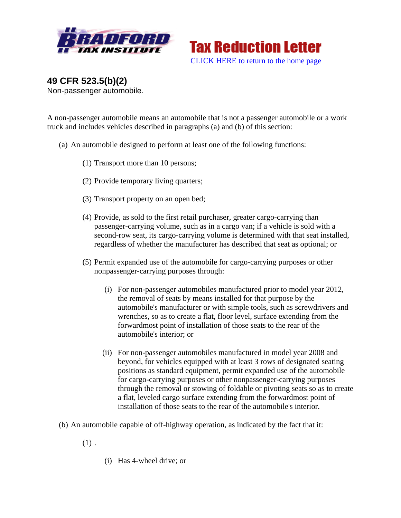

**Tax Reduction Letter** [CLICK HERE to return to the home page](http://www.bradfordtaxinstitute.com/) 

**49 CFR 523.5(b)(2)**  Non-passenger automobile.

A non-passenger automobile means an automobile that is not a passenger automobile or a work truck and includes vehicles described in paragraphs (a) and (b) of this section:

- (a) An automobile designed to perform at least one of the following functions:
	- (1) Transport more than 10 persons;
	- (2) Provide temporary living quarters;
	- (3) Transport property on an open bed;
	- (4) Provide, as sold to the first retail purchaser, greater cargo-carrying than passenger-carrying volume, such as in a cargo van; if a vehicle is sold with a second-row seat, its cargo-carrying volume is determined with that seat installed, regardless of whether the manufacturer has described that seat as optional; or
	- (5) Permit expanded use of the automobile for cargo-carrying purposes or other nonpassenger-carrying purposes through:
		- (i) For non-passenger automobiles manufactured prior to model year 2012, the removal of seats by means installed for that purpose by the automobile's manufacturer or with simple tools, such as screwdrivers and wrenches, so as to create a flat, floor level, surface extending from the forwardmost point of installation of those seats to the rear of the automobile's interior; or
		- (ii) For non-passenger automobiles manufactured in model year 2008 and beyond, for vehicles equipped with at least 3 rows of designated seating positions as standard equipment, permit expanded use of the automobile for cargo-carrying purposes or other nonpassenger-carrying purposes through the removal or stowing of foldable or pivoting seats so as to create a flat, leveled cargo surface extending from the forwardmost point of installation of those seats to the rear of the automobile's interior.
- (b) An automobile capable of off-highway operation, as indicated by the fact that it:
	- $(1)$ .
- (i) Has 4-wheel drive; or